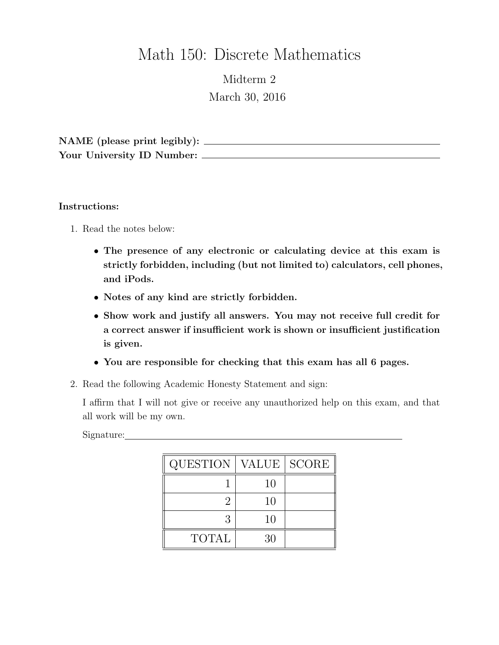# Math 150: Discrete Mathematics

Midterm 2 March 30, 2016

NAME (please print legibly): Your University ID Number:

### Instructions:

- 1. Read the notes below:
	- The presence of any electronic or calculating device at this exam is strictly forbidden, including (but not limited to) calculators, cell phones, and iPods.
	- Notes of any kind are strictly forbidden.
	- Show work and justify all answers. You may not receive full credit for a correct answer if insufficient work is shown or insufficient justification is given.
	- You are responsible for checking that this exam has all 6 pages.
- 2. Read the following Academic Honesty Statement and sign:

I affirm that I will not give or receive any unauthorized help on this exam, and that all work will be my own.

Signature:

| QUESTION   VALUE   SCORE |    |  |
|--------------------------|----|--|
|                          | 10 |  |
| 9                        | 10 |  |
| 3                        | 10 |  |
| <b>TOTAL</b>             | 30 |  |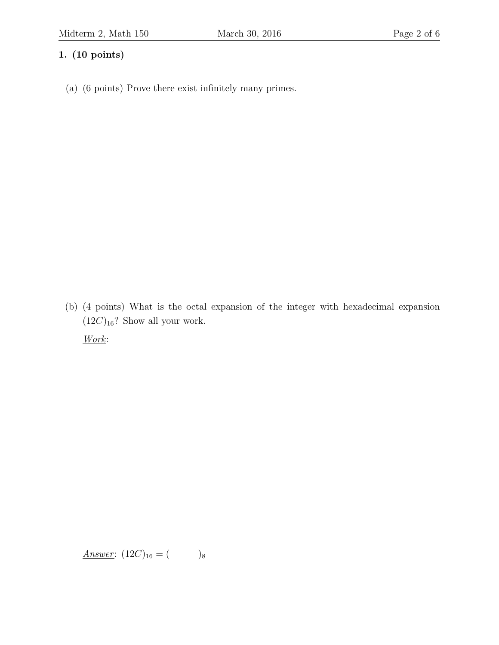## 1. (10 points)

(a) (6 points) Prove there exist infinitely many primes.

(b) (4 points) What is the octal expansion of the integer with hexadecimal expansion  $(12C)_{16}$ ? Show all your work.

Work:

Answer:  $(12C)_{16} = ($  )<sub>8</sub>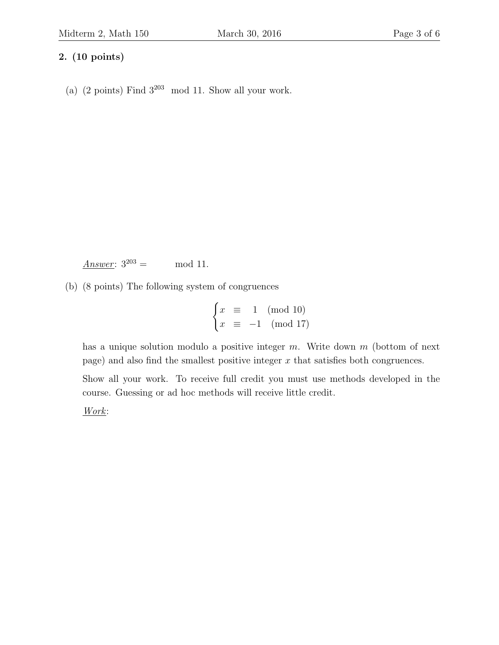### 2. (10 points)

(a) (2 points) Find  $3^{203}$  mod 11. Show all your work.

Answer:  $3^{203} = \text{mod } 11$ .

(b) (8 points) The following system of congruences

$$
\begin{cases} x \equiv 1 \pmod{10} \\ x \equiv -1 \pmod{17} \end{cases}
$$

has a unique solution modulo a positive integer  $m$ . Write down  $m$  (bottom of next page) and also find the smallest positive integer  $x$  that satisfies both congruences.

Show all your work. To receive full credit you must use methods developed in the course. Guessing or ad hoc methods will receive little credit.

Work: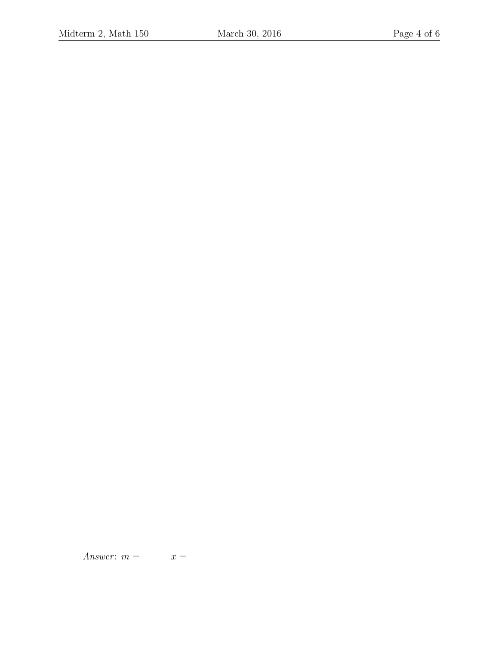Answer:  $m = x =$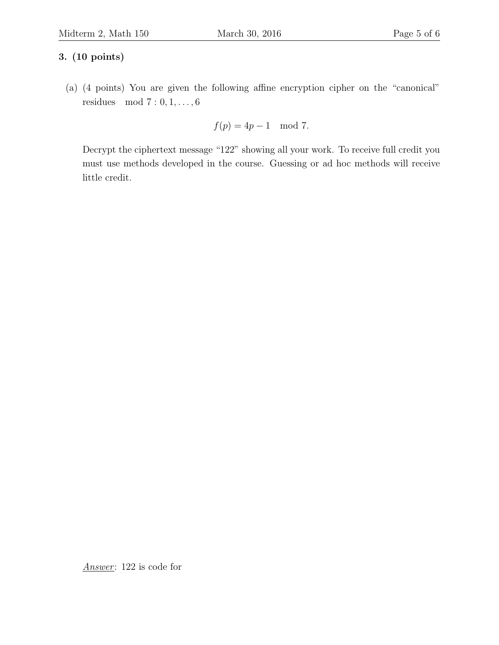## 3. (10 points)

(a) (4 points) You are given the following affine encryption cipher on the "canonical" residues mod 7 : 0, 1, . . . , 6

$$
f(p) = 4p - 1 \mod 7.
$$

Decrypt the ciphertext message "122" showing all your work. To receive full credit you must use methods developed in the course. Guessing or ad hoc methods will receive little credit.